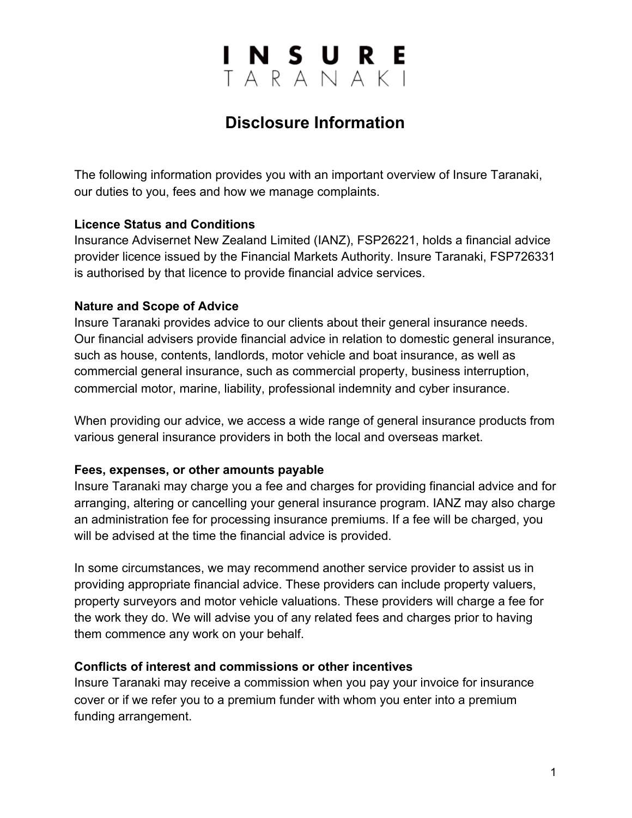### INSURE<br>TARANAKI

### **Disclosure Information**

The following information provides you with an important overview of Insure Taranaki, our duties to you, fees and how we manage complaints.

#### **Licence Status and Conditions**

Insurance Advisernet New Zealand Limited (IANZ), FSP26221, holds a financial advice provider licence issued by the Financial Markets Authority. Insure Taranaki, FSP726331 is authorised by that licence to provide financial advice services.

#### **Nature and Scope of Advice**

Insure Taranaki provides advice to our clients about their general insurance needs. Our financial advisers provide financial advice in relation to domestic general insurance, such as house, contents, landlords, motor vehicle and boat insurance, as well as commercial general insurance, such as commercial property, business interruption, commercial motor, marine, liability, professional indemnity and cyber insurance.

When providing our advice, we access a wide range of general insurance products from various general insurance providers in both the local and overseas market.

#### **Fees, expenses, or other amounts payable**

Insure Taranaki may charge you a fee and charges for providing financial advice and for arranging, altering or cancelling your general insurance program. IANZ may also charge an administration fee for processing insurance premiums. If a fee will be charged, you will be advised at the time the financial advice is provided.

In some circumstances, we may recommend another service provider to assist us in providing appropriate financial advice. These providers can include property valuers, property surveyors and motor vehicle valuations. These providers will charge a fee for the work they do. We will advise you of any related fees and charges prior to having them commence any work on your behalf.

#### **Conflicts of interest and commissions or other incentives**

Insure Taranaki may receive a commission when you pay your invoice for insurance cover or if we refer you to a premium funder with whom you enter into a premium funding arrangement.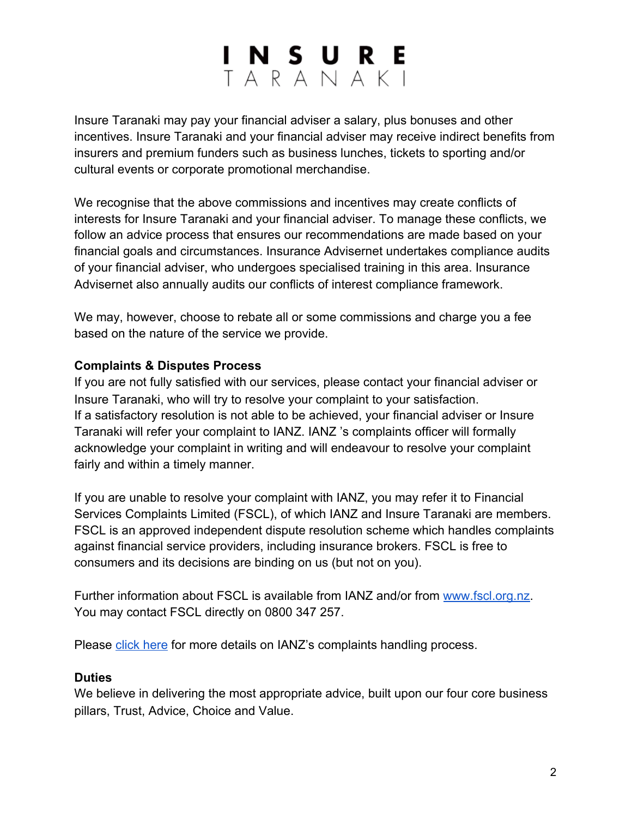# INSURE<br>TARANAKI

Insure Taranaki may pay your financial adviser a salary, plus bonuses and other incentives. Insure Taranaki and your financial adviser may receive indirect benefits from insurers and premium funders such as business lunches, tickets to sporting and/or cultural events or corporate promotional merchandise.

We recognise that the above commissions and incentives may create conflicts of interests for Insure Taranaki and your financial adviser. To manage these conflicts, we follow an advice process that ensures our recommendations are made based on your financial goals and circumstances. Insurance Advisernet undertakes compliance audits of your financial adviser, who undergoes specialised training in this area. Insurance Advisernet also annually audits our conflicts of interest compliance framework.

We may, however, choose to rebate all or some commissions and charge you a fee based on the nature of the service we provide.

#### **Complaints & Disputes Process**

If you are not fully satisfied with our services, please contact your financial adviser or Insure Taranaki, who will try to resolve your complaint to your satisfaction. If a satisfactory resolution is not able to be achieved, your financial adviser or Insure Taranaki will refer your complaint to IANZ. IANZ 's complaints officer will formally acknowledge your complaint in writing and will endeavour to resolve your complaint fairly and within a timely manner.

If you are unable to resolve your complaint with IANZ, you may refer it to Financial Services Complaints Limited (FSCL), of which IANZ and Insure Taranaki are members. FSCL is an approved independent dispute resolution scheme which handles complaints against financial service providers, including insurance brokers. FSCL is free to consumers and its decisions are binding on us (but not on you).

Further information about FSCL is available from IANZ and/or from [www.fscl.org.nz.](http://www.fscl.org.nz/) You may contact FSCL directly on 0800 347 257.

Please [click here](https://a1a1ed2e-82e6-4435-b58c-f6f5f9764462.filesusr.com/ugd/166c35_902b1a873d7248a1ab6024fe83f75345.pdf?index=true) for more details on IANZ's complaints handling process.

#### **Duties**

We believe in delivering the most appropriate advice, built upon our four core business pillars, Trust, Advice, Choice and Value.